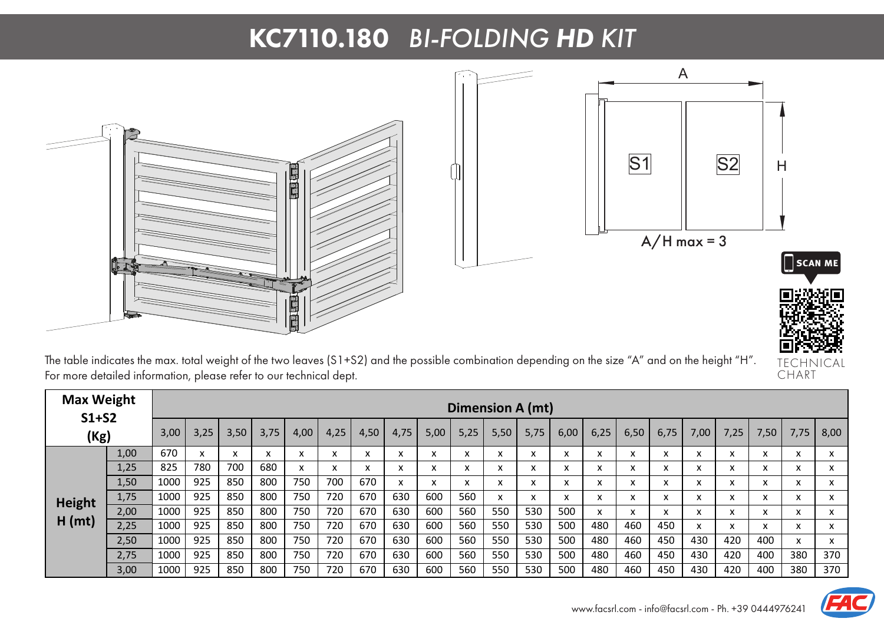## KC7110.180 *BI-FOLDING HD KIT*



TECHNICAL CHART

The table indicates the max. total weight of the two leaves (S1+S2) and the possible combination depending on the size "A" and on the height "H". For more detailed information, please refer to our technical dept.

| <b>Max Weight</b><br>$S1+S2$<br>(Kg) |      |      | Dimension A (mt) |           |           |                        |                   |      |                               |      |      |      |                   |      |      |                   |                   |        |                    |                           |                          |                   |
|--------------------------------------|------|------|------------------|-----------|-----------|------------------------|-------------------|------|-------------------------------|------|------|------|-------------------|------|------|-------------------|-------------------|--------|--------------------|---------------------------|--------------------------|-------------------|
|                                      |      | 3,00 | 3,25             | 3,50      | 3,75      | 4,00                   | 4,25              | 4,50 | 4,75                          | 5,00 | 5,25 | 5,50 | 5,75              | 6,00 | 6,25 | 6,50              | 6,75              | 7,00   | 7,25               | 7,50                      | 7,75                     | 8,00              |
| <b>Height</b><br>H (mt)              | 1,00 | 670  |                  | $\lambda$ | $\lambda$ | $\lambda$<br>$\lambda$ | $\lambda$<br>^    | x    | $\overline{\phantom{a}}$<br>v | x    | x    | x    | $\checkmark$<br>л | X    | A    | $\lambda$<br>л    | $\lambda$         | $\sim$ | $\mathbf{v}$<br>л. | $\checkmark$<br>$\lambda$ | $\mathbf v$<br>$\lambda$ | x                 |
|                                      | 1,25 | 825  | 780              | 700       | 680       | x                      | $\mathbf{v}$<br>́ | x    | X                             | x    | X    | x    | x                 | X    | ж    | x                 | x                 |        | x                  | X                         | X                        | x                 |
|                                      | 1,50 | 1000 | 925              | 850       | 800       | 750                    | 700               | 670  | x                             | x    | x    | x    | $\checkmark$<br>л | X    | A    | $\checkmark$<br>л | $\checkmark$<br>v |        | x                  | x                         | X                        | $\checkmark$<br>v |
|                                      | 1,75 | 1000 | 925              | 850       | 800       | 750                    | 720               | 670  | 630                           | 600  | 560  | x    | x                 | X    | л    | л                 | x                 |        | x                  | $\checkmark$<br>v         | X                        | x                 |
|                                      | 2,00 | 1000 | 925              | 850       | 800       | 750                    | 720               | 670  | 630                           | 600  | 560  | 550  | 530               | 500  |      | $\lambda$         | $\cdot$           |        | $\mathbf{v}$<br>л. | $\mathbf{v}$<br>$\lambda$ | X                        | $\checkmark$<br>v |
|                                      | 2,25 | 1000 | 925              | 850       | 800       | 750                    | 720               | 670  | 630                           | 600  | 560  | 550  | 530               | 500  | 480  | 460               | 450               |        | x                  | X                         | $\mathsf{x}$             | x                 |
|                                      | 2,50 | 1000 | 925              | 850       | 800       | 750                    | 720               | 670  | 630                           | 600  | 560  | 550  | 530               | 500  | 480  | 460               | 450               | 430    | 420                | 400                       | X                        | x                 |
|                                      | 2,75 | 1000 | 925              | 850       | 800       | 750                    | 720               | 670  | 630                           | 600  | 560  | 550  | 530               | 500  | 480  | 460               | 450               | 430    | 420                | 400                       | 380                      | 370               |
|                                      | 3,00 | 1000 | 925              | 850       | 800       | 750                    | 720               | 670  | 630                           | 600  | 560  | 550  | 530               | 500  | 480  | 460               | 450               | 430    | 420                | 400                       | 380                      | 370               |